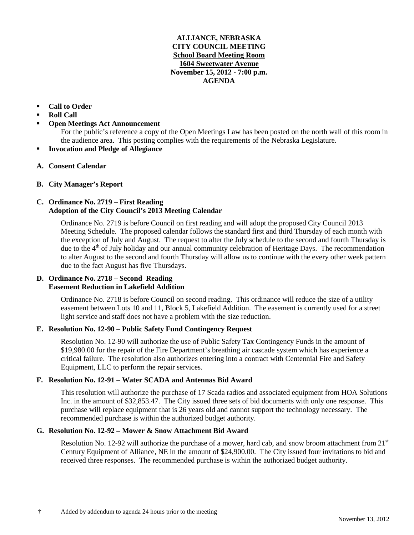## **ALLIANCE, NEBRASKA CITY COUNCIL MEETING School Board Meeting Room 1604 Sweetwater Avenue November 15, 2012 - 7:00 p.m. AGENDA**

# **Call to Order**

- **Roll Call**
- **Open Meetings Act Announcement**

For the public's reference a copy of the Open Meetings Law has been posted on the north wall of this room in the audience area. This posting complies with the requirements of the Nebraska Legislature.

- **Invocation and Pledge of Allegiance**
- **A. Consent Calendar**
- **B. City Manager's Report**

# **C. Ordinance No. 2719 – First Reading Adoption of the City Council's 2013 Meeting Calendar**

Ordinance No. 2719 is before Council on first reading and will adopt the proposed City Council 2013 Meeting Schedule. The proposed calendar follows the standard first and third Thursday of each month with the exception of July and August. The request to alter the July schedule to the second and fourth Thursday is due to the  $4<sup>th</sup>$  of July holiday and our annual community celebration of Heritage Days. The recommendation to alter August to the second and fourth Thursday will allow us to continue with the every other week pattern due to the fact August has five Thursdays.

# **D. Ordinance No. 2718 – Second Reading Easement Reduction in Lakefield Addition**

Ordinance No. 2718 is before Council on second reading. This ordinance will reduce the size of a utility easement between Lots 10 and 11, Block 5, Lakefield Addition. The easement is currently used for a street light service and staff does not have a problem with the size reduction.

# **E. Resolution No. 12-90 – Public Safety Fund Contingency Request**

Resolution No. 12-90 will authorize the use of Public Safety Tax Contingency Funds in the amount of \$19,980.00 for the repair of the Fire Department's breathing air cascade system which has experience a critical failure. The resolution also authorizes entering into a contract with Centennial Fire and Safety Equipment, LLC to perform the repair services.

## **F. Resolution No. 12-91 – Water SCADA and Antennas Bid Award**

This resolution will authorize the purchase of 17 Scada radios and associated equipment from HOA Solutions Inc. in the amount of \$32,853.47. The City issued three sets of bid documents with only one response. This purchase will replace equipment that is 26 years old and cannot support the technology necessary. The recommended purchase is within the authorized budget authority.

## **G. Resolution No. 12-92 – Mower & Snow Attachment Bid Award**

Resolution No. 12-92 will authorize the purchase of a mower, hard cab, and snow broom attachment from  $21<sup>st</sup>$ Century Equipment of Alliance, NE in the amount of \$24,900.00. The City issued four invitations to bid and received three responses. The recommended purchase is within the authorized budget authority.